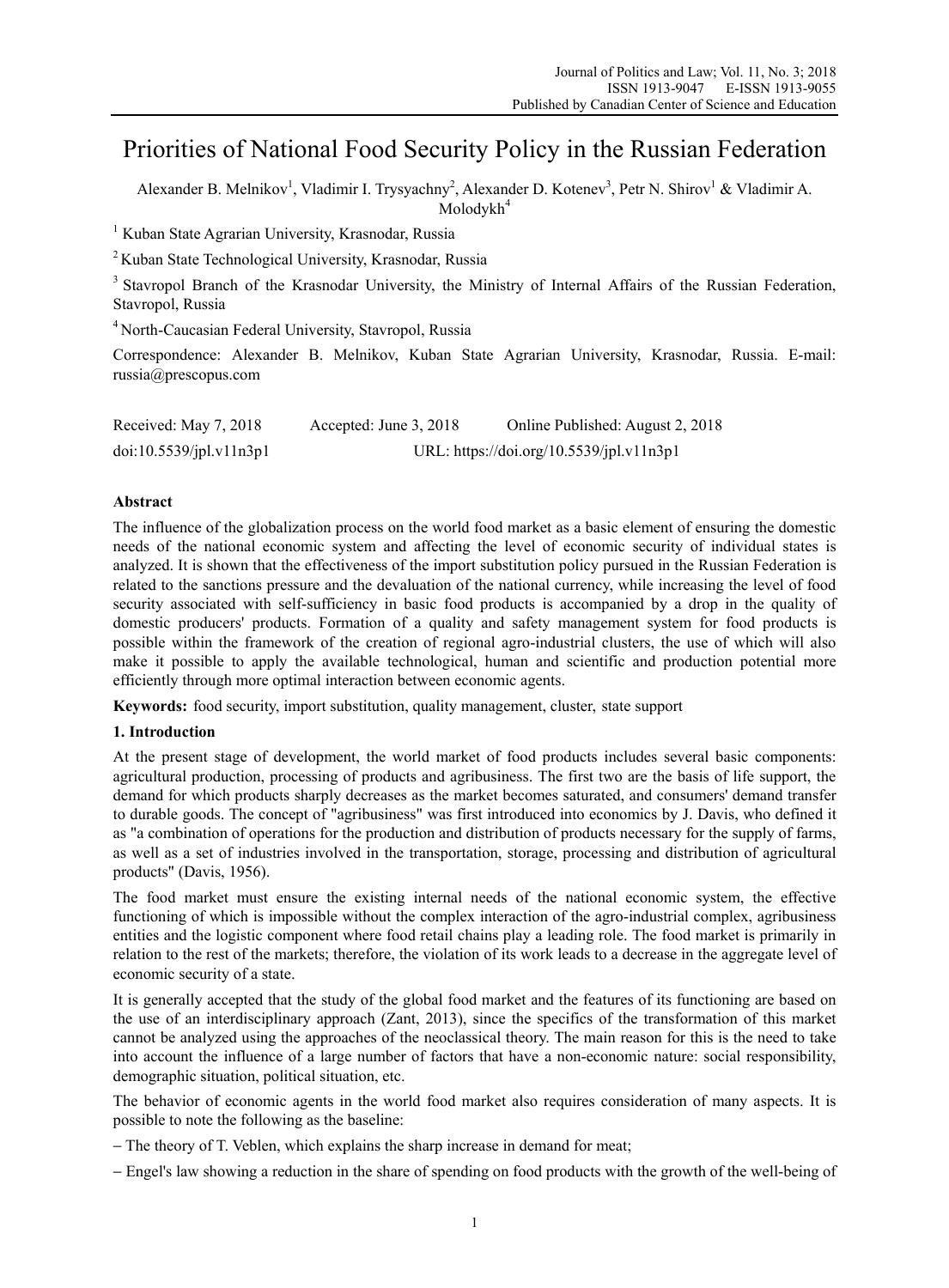# Priorities of National Food Security Policy in the Russian Federation

Alexander B. Melnikov<sup>1</sup>, Vladimir I. Trysyachny<sup>2</sup>, Alexander D. Kotenev<sup>3</sup>, Petr N. Shirov<sup>1</sup> & Vladimir A. Molodykh<sup>4</sup>

<sup>1</sup> Kuban State Agrarian University, Krasnodar, Russia

2 Kuban State Technological University, Krasnodar, Russia

<sup>3</sup> Stavropol Branch of the Krasnodar University, the Ministry of Internal Affairs of the Russian Federation, Stavropol, Russia

4 North-Caucasian Federal University, Stavropol, Russia

Correspondence: Alexander B. Melnikov, Kuban State Agrarian University, Krasnodar, Russia. E-mail: russia@prescopus.com

| Received: May 7, 2018   | Accepted: June 3, 2018 | Online Published: August 2, 2018         |
|-------------------------|------------------------|------------------------------------------|
| doi:10.5539/jpl.v11n3p1 |                        | URL: https://doi.org/10.5539/jpl.v11n3p1 |

## **Abstract**

The influence of the globalization process on the world food market as a basic element of ensuring the domestic needs of the national economic system and affecting the level of economic security of individual states is analyzed. It is shown that the effectiveness of the import substitution policy pursued in the Russian Federation is related to the sanctions pressure and the devaluation of the national currency, while increasing the level of food security associated with self-sufficiency in basic food products is accompanied by a drop in the quality of domestic producers' products. Formation of a quality and safety management system for food products is possible within the framework of the creation of regional agro-industrial clusters, the use of which will also make it possible to apply the available technological, human and scientific and production potential more efficiently through more optimal interaction between economic agents.

**Keywords:** food security, import substitution, quality management, cluster, state support

## **1. Introduction**

At the present stage of development, the world market of food products includes several basic components: agricultural production, processing of products and agribusiness. The first two are the basis of life support, the demand for which products sharply decreases as the market becomes saturated, and consumers' demand transfer to durable goods. The concept of "agribusiness" was first introduced into economics by J. Davis, who defined it as "a combination of operations for the production and distribution of products necessary for the supply of farms, as well as a set of industries involved in the transportation, storage, processing and distribution of agricultural products" (Davis, 1956).

The food market must ensure the existing internal needs of the national economic system, the effective functioning of which is impossible without the complex interaction of the agro-industrial complex, agribusiness entities and the logistic component where food retail chains play a leading role. The food market is primarily in relation to the rest of the markets; therefore, the violation of its work leads to a decrease in the aggregate level of economic security of a state.

It is generally accepted that the study of the global food market and the features of its functioning are based on the use of an interdisciplinary approach (Zant, 2013), since the specifics of the transformation of this market cannot be analyzed using the approaches of the neoclassical theory. The main reason for this is the need to take into account the influence of a large number of factors that have a non-economic nature: social responsibility, demographic situation, political situation, etc.

The behavior of economic agents in the world food market also requires consideration of many aspects. It is possible to note the following as the baseline:

− The theory of T. Veblen, which explains the sharp increase in demand for meat;

− Engel's law showing a reduction in the share of spending on food products with the growth of the well-being of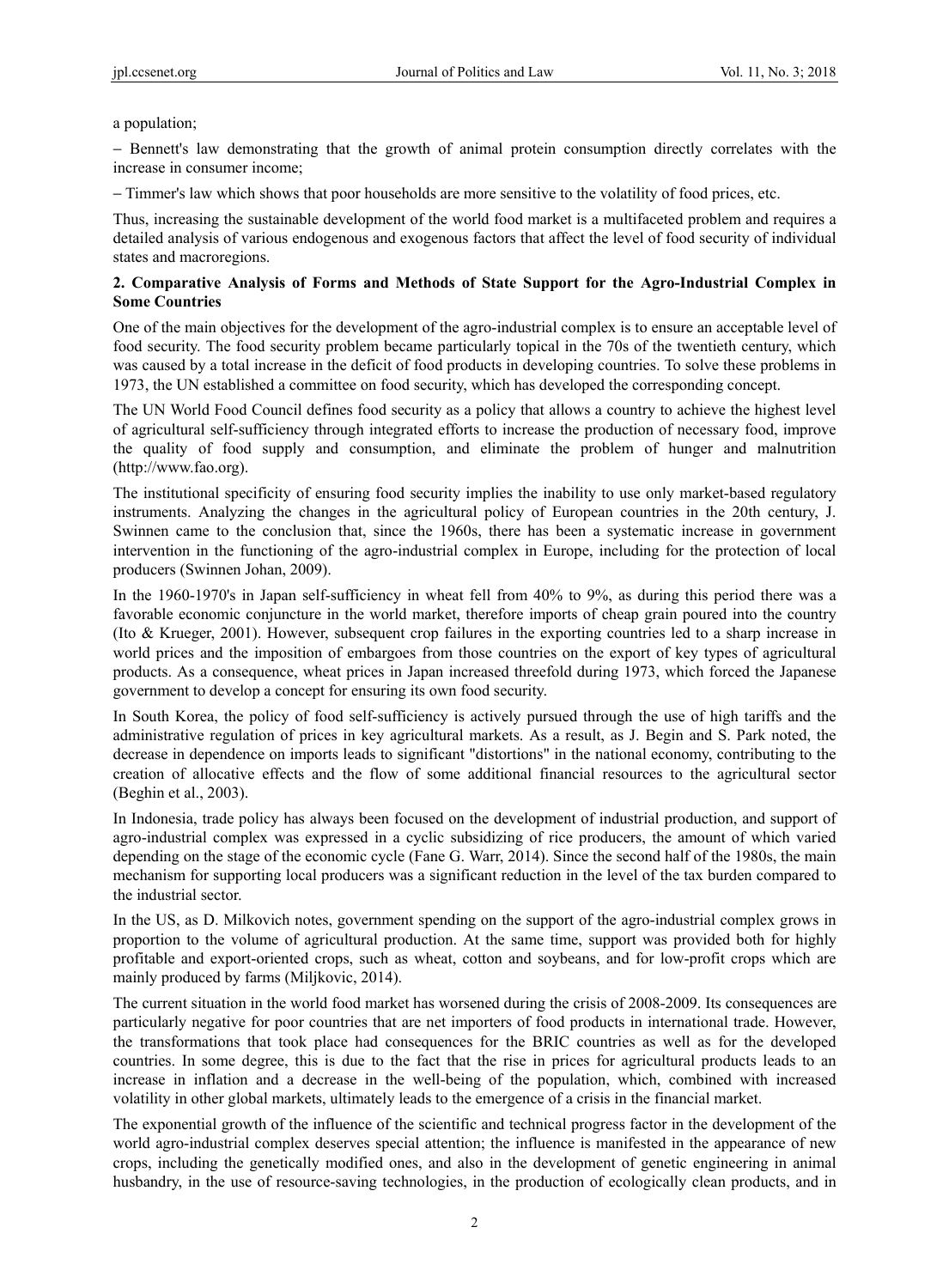a population;

− Bennett's law demonstrating that the growth of animal protein consumption directly correlates with the increase in consumer income;

− Timmer's law which shows that poor households are more sensitive to the volatility of food prices, etc.

Thus, increasing the sustainable development of the world food market is a multifaceted problem and requires a detailed analysis of various endogenous and exogenous factors that affect the level of food security of individual states and macroregions.

## **2. Comparative Analysis of Forms and Methods of State Support for the Agro-Industrial Complex in Some Countries**

One of the main objectives for the development of the agro-industrial complex is to ensure an acceptable level of food security. The food security problem became particularly topical in the 70s of the twentieth century, which was caused by a total increase in the deficit of food products in developing countries. To solve these problems in 1973, the UN established a committee on food security, which has developed the corresponding concept.

The UN World Food Council defines food security as a policy that allows a country to achieve the highest level of agricultural self-sufficiency through integrated efforts to increase the production of necessary food, improve the quality of food supply and consumption, and eliminate the problem of hunger and malnutrition (http://www.fao.org).

The institutional specificity of ensuring food security implies the inability to use only market-based regulatory instruments. Analyzing the changes in the agricultural policy of European countries in the 20th century, J. Swinnen came to the conclusion that, since the 1960s, there has been a systematic increase in government intervention in the functioning of the agro-industrial complex in Europe, including for the protection of local producers (Swinnen Johan, 2009).

In the 1960-1970's in Japan self-sufficiency in wheat fell from 40% to 9%, as during this period there was a favorable economic conjuncture in the world market, therefore imports of cheap grain poured into the country (Ito & Krueger, 2001). However, subsequent crop failures in the exporting countries led to a sharp increase in world prices and the imposition of embargoes from those countries on the export of key types of agricultural products. As a consequence, wheat prices in Japan increased threefold during 1973, which forced the Japanese government to develop a concept for ensuring its own food security.

In South Korea, the policy of food self-sufficiency is actively pursued through the use of high tariffs and the administrative regulation of prices in key agricultural markets. As a result, as J. Begin and S. Park noted, the decrease in dependence on imports leads to significant "distortions" in the national economy, contributing to the creation of allocative effects and the flow of some additional financial resources to the agricultural sector (Beghin et al., 2003).

In Indonesia, trade policy has always been focused on the development of industrial production, and support of agro-industrial complex was expressed in a cyclic subsidizing of rice producers, the amount of which varied depending on the stage of the economic cycle (Fane G. Warr, 2014). Since the second half of the 1980s, the main mechanism for supporting local producers was a significant reduction in the level of the tax burden compared to the industrial sector.

In the US, as D. Milkovich notes, government spending on the support of the agro-industrial complex grows in proportion to the volume of agricultural production. At the same time, support was provided both for highly profitable and export-oriented crops, such as wheat, cotton and soybeans, and for low-profit crops which are mainly produced by farms (Miljkovic, 2014).

The current situation in the world food market has worsened during the crisis of 2008-2009. Its consequences are particularly negative for poor countries that are net importers of food products in international trade. However, the transformations that took place had consequences for the BRIC countries as well as for the developed countries. In some degree, this is due to the fact that the rise in prices for agricultural products leads to an increase in inflation and a decrease in the well-being of the population, which, combined with increased volatility in other global markets, ultimately leads to the emergence of a crisis in the financial market.

The exponential growth of the influence of the scientific and technical progress factor in the development of the world agro-industrial complex deserves special attention; the influence is manifested in the appearance of new crops, including the genetically modified ones, and also in the development of genetic engineering in animal husbandry, in the use of resource-saving technologies, in the production of ecologically clean products, and in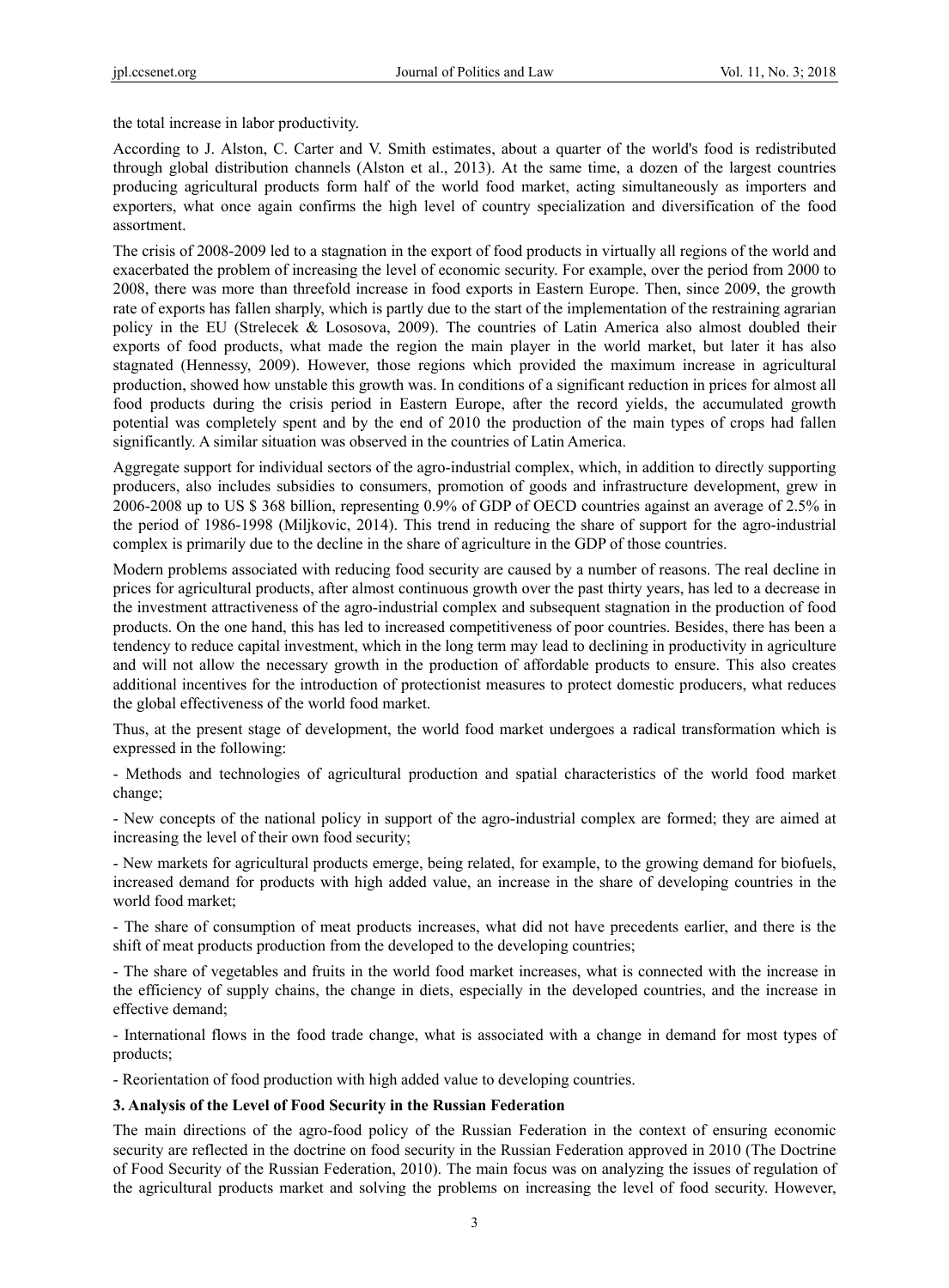the total increase in labor productivity.

According to J. Alston, C. Carter and V. Smith estimates, about a quarter of the world's food is redistributed through global distribution channels (Alston et al., 2013). At the same time, a dozen of the largest countries producing agricultural products form half of the world food market, acting simultaneously as importers and exporters, what once again confirms the high level of country specialization and diversification of the food assortment.

The crisis of 2008-2009 led to a stagnation in the export of food products in virtually all regions of the world and exacerbated the problem of increasing the level of economic security. For example, over the period from 2000 to 2008, there was more than threefold increase in food exports in Eastern Europe. Then, since 2009, the growth rate of exports has fallen sharply, which is partly due to the start of the implementation of the restraining agrarian policy in the EU (Strelecek & Lososova, 2009). The countries of Latin America also almost doubled their exports of food products, what made the region the main player in the world market, but later it has also stagnated (Hennessy, 2009). However, those regions which provided the maximum increase in agricultural production, showed how unstable this growth was. In conditions of a significant reduction in prices for almost all food products during the crisis period in Eastern Europe, after the record yields, the accumulated growth potential was completely spent and by the end of 2010 the production of the main types of crops had fallen significantly. A similar situation was observed in the countries of Latin America.

Aggregate support for individual sectors of the agro-industrial complex, which, in addition to directly supporting producers, also includes subsidies to consumers, promotion of goods and infrastructure development, grew in 2006-2008 up to US \$ 368 billion, representing 0.9% of GDP of OECD countries against an average of 2.5% in the period of 1986-1998 (Miljkovic, 2014). This trend in reducing the share of support for the agro-industrial complex is primarily due to the decline in the share of agriculture in the GDP of those countries.

Modern problems associated with reducing food security are caused by a number of reasons. The real decline in prices for agricultural products, after almost continuous growth over the past thirty years, has led to a decrease in the investment attractiveness of the agro-industrial complex and subsequent stagnation in the production of food products. On the one hand, this has led to increased competitiveness of poor countries. Besides, there has been a tendency to reduce capital investment, which in the long term may lead to declining in productivity in agriculture and will not allow the necessary growth in the production of affordable products to ensure. This also creates additional incentives for the introduction of protectionist measures to protect domestic producers, what reduces the global effectiveness of the world food market.

Thus, at the present stage of development, the world food market undergoes a radical transformation which is expressed in the following:

- Methods and technologies of agricultural production and spatial characteristics of the world food market change;

- New concepts of the national policy in support of the agro-industrial complex are formed; they are aimed at increasing the level of their own food security;

- New markets for agricultural products emerge, being related, for example, to the growing demand for biofuels, increased demand for products with high added value, an increase in the share of developing countries in the world food market;

- The share of consumption of meat products increases, what did not have precedents earlier, and there is the shift of meat products production from the developed to the developing countries;

- The share of vegetables and fruits in the world food market increases, what is connected with the increase in the efficiency of supply chains, the change in diets, especially in the developed countries, and the increase in effective demand;

- International flows in the food trade change, what is associated with a change in demand for most types of products;

- Reorientation of food production with high added value to developing countries.

#### **3. Analysis of the Level of Food Security in the Russian Federation**

The main directions of the agro-food policy of the Russian Federation in the context of ensuring economic security are reflected in the doctrine on food security in the Russian Federation approved in 2010 (The Doctrine of Food Security of the Russian Federation, 2010). The main focus was on analyzing the issues of regulation of the agricultural products market and solving the problems on increasing the level of food security. However,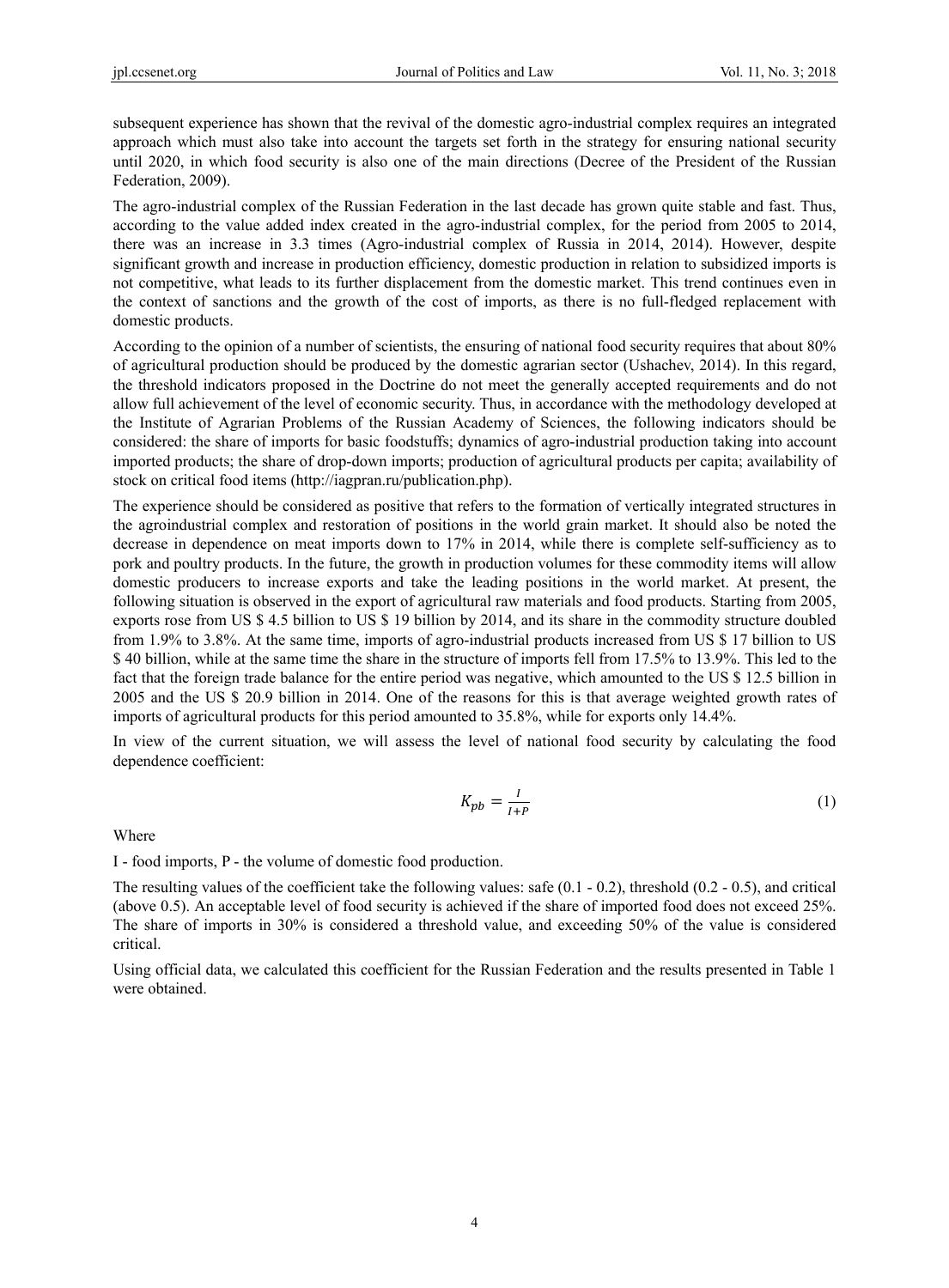subsequent experience has shown that the revival of the domestic agro-industrial complex requires an integrated approach which must also take into account the targets set forth in the strategy for ensuring national security until 2020, in which food security is also one of the main directions (Decree of the President of the Russian Federation, 2009).

The agro-industrial complex of the Russian Federation in the last decade has grown quite stable and fast. Thus, according to the value added index created in the agro-industrial complex, for the period from 2005 to 2014, there was an increase in 3.3 times (Agro-industrial complex of Russia in 2014, 2014). However, despite significant growth and increase in production efficiency, domestic production in relation to subsidized imports is not competitive, what leads to its further displacement from the domestic market. This trend continues even in the context of sanctions and the growth of the cost of imports, as there is no full-fledged replacement with domestic products.

According to the opinion of a number of scientists, the ensuring of national food security requires that about 80% of agricultural production should be produced by the domestic agrarian sector (Ushachev, 2014). In this regard, the threshold indicators proposed in the Doctrine do not meet the generally accepted requirements and do not allow full achievement of the level of economic security. Thus, in accordance with the methodology developed at the Institute of Agrarian Problems of the Russian Academy of Sciences, the following indicators should be considered: the share of imports for basic foodstuffs; dynamics of agro-industrial production taking into account imported products; the share of drop-down imports; production of agricultural products per capita; availability of stock on critical food items (http://iagpran.ru/publication.php).

The experience should be considered as positive that refers to the formation of vertically integrated structures in the agroindustrial complex and restoration of positions in the world grain market. It should also be noted the decrease in dependence on meat imports down to 17% in 2014, while there is complete self-sufficiency as to pork and poultry products. In the future, the growth in production volumes for these commodity items will allow domestic producers to increase exports and take the leading positions in the world market. At present, the following situation is observed in the export of agricultural raw materials and food products. Starting from 2005, exports rose from US \$ 4.5 billion to US \$ 19 billion by 2014, and its share in the commodity structure doubled from 1.9% to 3.8%. At the same time, imports of agro-industrial products increased from US \$ 17 billion to US \$ 40 billion, while at the same time the share in the structure of imports fell from 17.5% to 13.9%. This led to the fact that the foreign trade balance for the entire period was negative, which amounted to the US \$ 12.5 billion in 2005 and the US \$ 20.9 billion in 2014. One of the reasons for this is that average weighted growth rates of imports of agricultural products for this period amounted to 35.8%, while for exports only 14.4%.

In view of the current situation, we will assess the level of national food security by calculating the food dependence coefficient:

$$
K_{pb} = \frac{I}{I + P} \tag{1}
$$

Where

I - food imports, P - the volume of domestic food production.

The resulting values of the coefficient take the following values: safe (0.1 - 0.2), threshold (0.2 - 0.5), and critical (above 0.5). An acceptable level of food security is achieved if the share of imported food does not exceed 25%. The share of imports in 30% is considered a threshold value, and exceeding 50% of the value is considered critical.

Using official data, we calculated this coefficient for the Russian Federation and the results presented in Table 1 were obtained.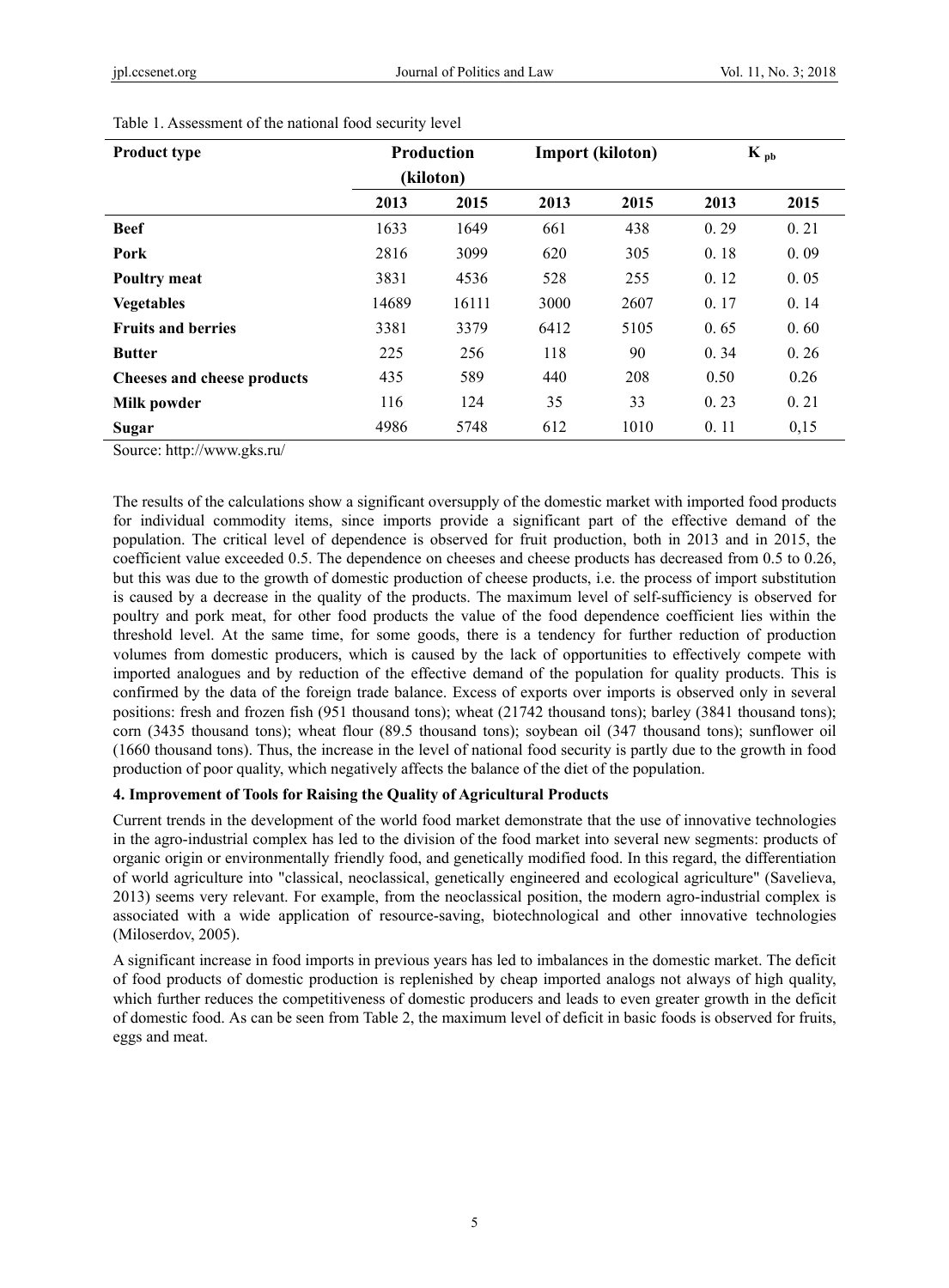| <b>Product type</b>                | Production |       | <b>Import</b> (kiloton) |      | $K_{pb}$ |      |
|------------------------------------|------------|-------|-------------------------|------|----------|------|
|                                    | (kiloton)  |       |                         |      |          |      |
|                                    | 2013       | 2015  | 2013                    | 2015 | 2013     | 2015 |
| <b>Beef</b>                        | 1633       | 1649  | 661                     | 438  | 0.29     | 0.21 |
| Pork                               | 2816       | 3099  | 620                     | 305  | 0.18     | 0.09 |
| <b>Poultry meat</b>                | 3831       | 4536  | 528                     | 255  | 0.12     | 0.05 |
| <b>Vegetables</b>                  | 14689      | 16111 | 3000                    | 2607 | 0.17     | 0.14 |
| <b>Fruits and berries</b>          | 3381       | 3379  | 6412                    | 5105 | 0.65     | 0.60 |
| <b>Butter</b>                      | 225        | 256   | 118                     | 90   | 0.34     | 0.26 |
| <b>Cheeses and cheese products</b> | 435        | 589   | 440                     | 208  | 0.50     | 0.26 |
| Milk powder                        | 116        | 124   | 35                      | 33   | 0.23     | 0.21 |
| Sugar                              | 4986       | 5748  | 612                     | 1010 | 0.11     | 0,15 |

| Table 1. Assessment of the national food security level |  |  |  |
|---------------------------------------------------------|--|--|--|
|                                                         |  |  |  |

Source: http://www.gks.ru/

The results of the calculations show a significant oversupply of the domestic market with imported food products for individual commodity items, since imports provide a significant part of the effective demand of the population. The critical level of dependence is observed for fruit production, both in 2013 and in 2015, the coefficient value exceeded 0.5. The dependence on cheeses and cheese products has decreased from 0.5 to 0.26, but this was due to the growth of domestic production of cheese products, i.e. the process of import substitution is caused by a decrease in the quality of the products. The maximum level of self-sufficiency is observed for poultry and pork meat, for other food products the value of the food dependence coefficient lies within the threshold level. At the same time, for some goods, there is a tendency for further reduction of production volumes from domestic producers, which is caused by the lack of opportunities to effectively compete with imported analogues and by reduction of the effective demand of the population for quality products. This is confirmed by the data of the foreign trade balance. Excess of exports over imports is observed only in several positions: fresh and frozen fish (951 thousand tons); wheat (21742 thousand tons); barley (3841 thousand tons); corn (3435 thousand tons); wheat flour (89.5 thousand tons); soybean oil (347 thousand tons); sunflower oil (1660 thousand tons). Thus, the increase in the level of national food security is partly due to the growth in food production of poor quality, which negatively affects the balance of the diet of the population.

#### **4. Improvement of Tools for Raising the Quality of Agricultural Products**

Current trends in the development of the world food market demonstrate that the use of innovative technologies in the agro-industrial complex has led to the division of the food market into several new segments: products of organic origin or environmentally friendly food, and genetically modified food. In this regard, the differentiation of world agriculture into "classical, neoclassical, genetically engineered and ecological agriculture" (Savelieva, 2013) seems very relevant. For example, from the neoclassical position, the modern agro-industrial complex is associated with a wide application of resource-saving, biotechnological and other innovative technologies (Miloserdov, 2005).

A significant increase in food imports in previous years has led to imbalances in the domestic market. The deficit of food products of domestic production is replenished by cheap imported analogs not always of high quality, which further reduces the competitiveness of domestic producers and leads to even greater growth in the deficit of domestic food. As can be seen from Table 2, the maximum level of deficit in basic foods is observed for fruits, eggs and meat.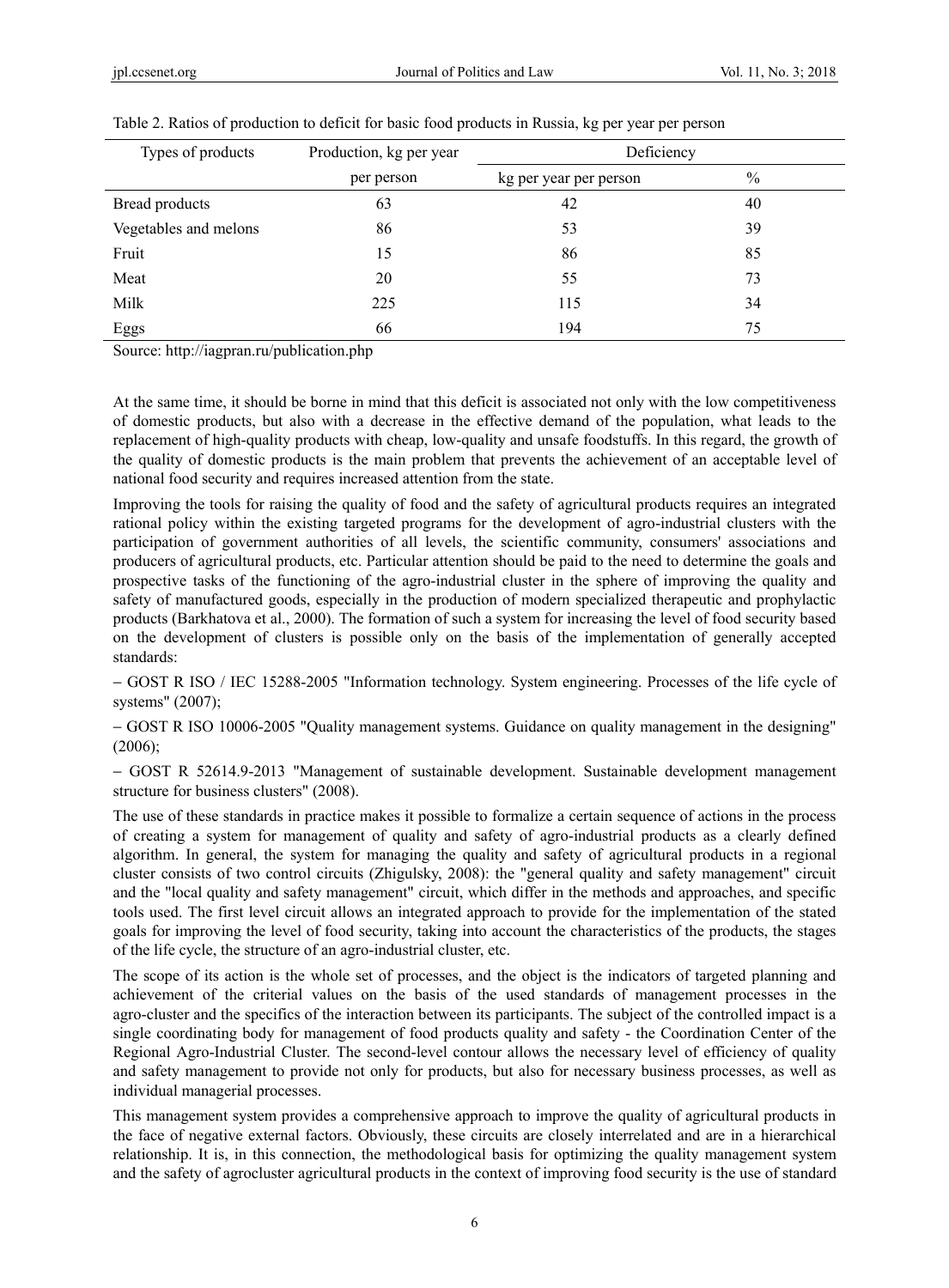| Types of products     | Production, kg per year | Deficiency             |               |  |
|-----------------------|-------------------------|------------------------|---------------|--|
|                       | per person              | kg per year per person | $\frac{0}{0}$ |  |
| Bread products        | 63                      | 42                     | 40            |  |
| Vegetables and melons | 86                      | 53                     | 39            |  |
| Fruit                 | 15                      | 86                     | 85            |  |
| Meat                  | 20                      | 55                     | 73            |  |
| Milk                  | 225                     | 115                    | 34            |  |
| Eggs                  | 66                      | 194                    | 75            |  |

#### Table 2. Ratios of production to deficit for basic food products in Russia, kg per year per person

Source: http://iagpran.ru/publication.php

At the same time, it should be borne in mind that this deficit is associated not only with the low competitiveness of domestic products, but also with a decrease in the effective demand of the population, what leads to the replacement of high-quality products with cheap, low-quality and unsafe foodstuffs. In this regard, the growth of the quality of domestic products is the main problem that prevents the achievement of an acceptable level of national food security and requires increased attention from the state.

Improving the tools for raising the quality of food and the safety of agricultural products requires an integrated rational policy within the existing targeted programs for the development of agro-industrial clusters with the participation of government authorities of all levels, the scientific community, consumers' associations and producers of agricultural products, etc. Particular attention should be paid to the need to determine the goals and prospective tasks of the functioning of the agro-industrial cluster in the sphere of improving the quality and safety of manufactured goods, especially in the production of modern specialized therapeutic and prophylactic products (Barkhatova et al., 2000). The formation of such a system for increasing the level of food security based on the development of clusters is possible only on the basis of the implementation of generally accepted standards:

− GOST R ISO / IEC 15288-2005 "Information technology. System engineering. Processes of the life cycle of systems" (2007);

− GOST R ISO 10006-2005 "Quality management systems. Guidance on quality management in the designing" (2006);

− GOST R 52614.9-2013 "Management of sustainable development. Sustainable development management structure for business clusters" (2008).

The use of these standards in practice makes it possible to formalize a certain sequence of actions in the process of creating a system for management of quality and safety of agro-industrial products as a clearly defined algorithm. In general, the system for managing the quality and safety of agricultural products in a regional cluster consists of two control circuits (Zhigulsky, 2008): the "general quality and safety management" circuit and the "local quality and safety management" circuit, which differ in the methods and approaches, and specific tools used. The first level circuit allows an integrated approach to provide for the implementation of the stated goals for improving the level of food security, taking into account the characteristics of the products, the stages of the life cycle, the structure of an agro-industrial cluster, etc.

The scope of its action is the whole set of processes, and the object is the indicators of targeted planning and achievement of the criterial values on the basis of the used standards of management processes in the agro-cluster and the specifics of the interaction between its participants. The subject of the controlled impact is a single coordinating body for management of food products quality and safety - the Coordination Center of the Regional Agro-Industrial Cluster. The second-level contour allows the necessary level of efficiency of quality and safety management to provide not only for products, but also for necessary business processes, as well as individual managerial processes.

This management system provides a comprehensive approach to improve the quality of agricultural products in the face of negative external factors. Obviously, these circuits are closely interrelated and are in a hierarchical relationship. It is, in this connection, the methodological basis for optimizing the quality management system and the safety of agrocluster agricultural products in the context of improving food security is the use of standard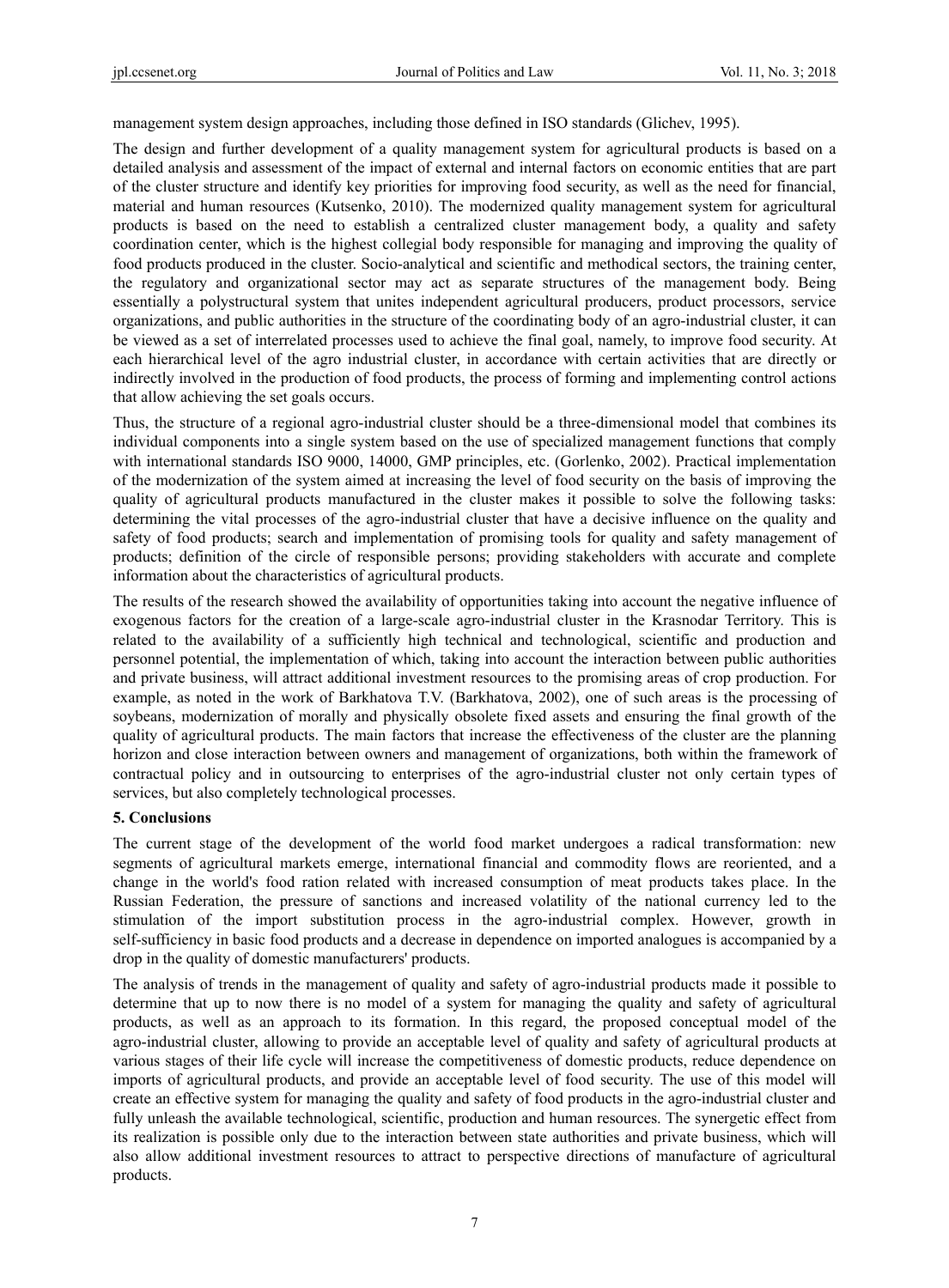management system design approaches, including those defined in ISO standards (Glichev, 1995).

The design and further development of a quality management system for agricultural products is based on a detailed analysis and assessment of the impact of external and internal factors on economic entities that are part of the cluster structure and identify key priorities for improving food security, as well as the need for financial, material and human resources (Kutsenko, 2010). The modernized quality management system for agricultural products is based on the need to establish a centralized cluster management body, a quality and safety coordination center, which is the highest collegial body responsible for managing and improving the quality of food products produced in the cluster. Socio-analytical and scientific and methodical sectors, the training center, the regulatory and organizational sector may act as separate structures of the management body. Being essentially a polystructural system that unites independent agricultural producers, product processors, service organizations, and public authorities in the structure of the coordinating body of an agro-industrial cluster, it can be viewed as a set of interrelated processes used to achieve the final goal, namely, to improve food security. At each hierarchical level of the agro industrial cluster, in accordance with certain activities that are directly or indirectly involved in the production of food products, the process of forming and implementing control actions that allow achieving the set goals occurs.

Thus, the structure of a regional agro-industrial cluster should be a three-dimensional model that combines its individual components into a single system based on the use of specialized management functions that comply with international standards ISO 9000, 14000, GMP principles, etc. (Gorlenko, 2002). Practical implementation of the modernization of the system aimed at increasing the level of food security on the basis of improving the quality of agricultural products manufactured in the cluster makes it possible to solve the following tasks: determining the vital processes of the agro-industrial cluster that have a decisive influence on the quality and safety of food products; search and implementation of promising tools for quality and safety management of products; definition of the circle of responsible persons; providing stakeholders with accurate and complete information about the characteristics of agricultural products.

The results of the research showed the availability of opportunities taking into account the negative influence of exogenous factors for the creation of a large-scale agro-industrial cluster in the Krasnodar Territory. This is related to the availability of a sufficiently high technical and technological, scientific and production and personnel potential, the implementation of which, taking into account the interaction between public authorities and private business, will attract additional investment resources to the promising areas of crop production. For example, as noted in the work of Barkhatova T.V. (Barkhatova, 2002), one of such areas is the processing of soybeans, modernization of morally and physically obsolete fixed assets and ensuring the final growth of the quality of agricultural products. The main factors that increase the effectiveness of the cluster are the planning horizon and close interaction between owners and management of organizations, both within the framework of contractual policy and in outsourcing to enterprises of the agro-industrial cluster not only certain types of services, but also completely technological processes.

## **5. Conclusions**

The current stage of the development of the world food market undergoes a radical transformation: new segments of agricultural markets emerge, international financial and commodity flows are reoriented, and a change in the world's food ration related with increased consumption of meat products takes place. In the Russian Federation, the pressure of sanctions and increased volatility of the national currency led to the stimulation of the import substitution process in the agro-industrial complex. However, growth in self-sufficiency in basic food products and a decrease in dependence on imported analogues is accompanied by a drop in the quality of domestic manufacturers' products.

The analysis of trends in the management of quality and safety of agro-industrial products made it possible to determine that up to now there is no model of a system for managing the quality and safety of agricultural products, as well as an approach to its formation. In this regard, the proposed conceptual model of the agro-industrial cluster, allowing to provide an acceptable level of quality and safety of agricultural products at various stages of their life cycle will increase the competitiveness of domestic products, reduce dependence on imports of agricultural products, and provide an acceptable level of food security. The use of this model will create an effective system for managing the quality and safety of food products in the agro-industrial cluster and fully unleash the available technological, scientific, production and human resources. The synergetic effect from its realization is possible only due to the interaction between state authorities and private business, which will also allow additional investment resources to attract to perspective directions of manufacture of agricultural products.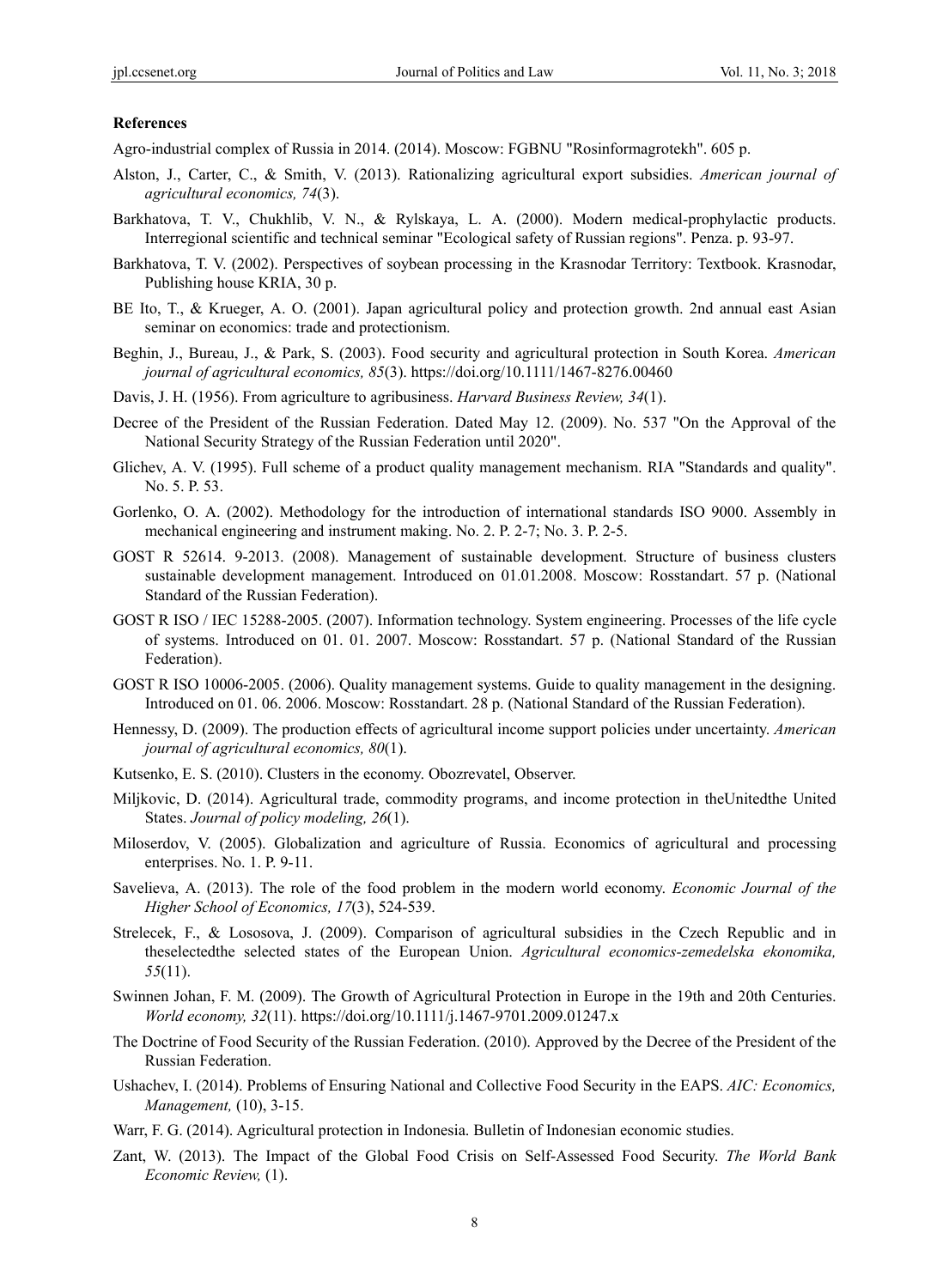#### **References**

Agro-industrial complex of Russia in 2014. (2014). Moscow: FGBNU "Rosinformagrotekh". 605 p.

- Alston, J., Carter, C., & Smith, V. (2013). Rationalizing agricultural export subsidies. *American journal of agricultural economics, 74*(3).
- Barkhatova, T. V., Chukhlib, V. N., & Rylskaya, L. A. (2000). Modern medical-prophylactic products. Interregional scientific and technical seminar "Ecological safety of Russian regions". Penza. p. 93-97.
- Barkhatova, T. V. (2002). Perspectives of soybean processing in the Krasnodar Territory: Textbook. Krasnodar, Publishing house KRIA, 30 p.
- BE Ito, T., & Krueger, A. O. (2001). Japan agricultural policy and protection growth. 2nd annual east Asian seminar on economics: trade and protectionism.
- Beghin, J., Bureau, J., & Park, S. (2003). Food security and agricultural protection in South Korea. *American journal of agricultural economics, 85*(3). https://doi.org/10.1111/1467-8276.00460
- Davis, J. H. (1956). From agriculture to agribusiness. *Harvard Business Review, 34*(1).
- Decree of the President of the Russian Federation. Dated May 12. (2009). No. 537 "On the Approval of the National Security Strategy of the Russian Federation until 2020".
- Glichev, A. V. (1995). Full scheme of a product quality management mechanism. RIA "Standards and quality". No. 5. P. 53.
- Gorlenko, O. A. (2002). Methodology for the introduction of international standards ISO 9000. Assembly in mechanical engineering and instrument making. No. 2. P. 2-7; No. 3. P. 2-5.
- GOST R 52614. 9-2013. (2008). Management of sustainable development. Structure of business clusters sustainable development management. Introduced on 01.01.2008. Moscow: Rosstandart. 57 p. (National Standard of the Russian Federation).
- GOST R ISO / IEC 15288-2005. (2007). Information technology. System engineering. Processes of the life cycle of systems. Introduced on 01. 01. 2007. Moscow: Rosstandart. 57 p. (National Standard of the Russian Federation).
- GOST R ISO 10006-2005. (2006). Quality management systems. Guide to quality management in the designing. Introduced on 01. 06. 2006. Moscow: Rosstandart. 28 p. (National Standard of the Russian Federation).
- Hennessy, D. (2009). The production effects of agricultural income support policies under uncertainty. *American journal of agricultural economics, 80*(1).
- Kutsenko, E. S. (2010). Clusters in the economy. Obozrevatel, Observer.
- Miljkovic, D. (2014). Agricultural trade, commodity programs, and income protection in theUnitedthe United States. *Journal of policy modeling, 26*(1).
- Miloserdov, V. (2005). Globalization and agriculture of Russia. Economics of agricultural and processing enterprises. No. 1. P. 9-11.
- Savelieva, A. (2013). The role of the food problem in the modern world economy. *Economic Journal of the Higher School of Economics, 17*(3), 524-539.
- Strelecek, F., & Lososova, J. (2009). Comparison of agricultural subsidies in the Czech Republic and in theselectedthe selected states of the European Union. *Agricultural economics-zemedelska ekonomika, 55*(11).
- Swinnen Johan, F. M. (2009). The Growth of Agricultural Protection in Europe in the 19th and 20th Centuries. *World economy, 32*(11). https://doi.org/10.1111/j.1467-9701.2009.01247.x
- The Doctrine of Food Security of the Russian Federation. (2010). Approved by the Decree of the President of the Russian Federation.
- Ushachev, I. (2014). Problems of Ensuring National and Collective Food Security in the EAPS. *AIC: Economics, Management,* (10), 3-15.
- Warr, F. G. (2014). Agricultural protection in Indonesia. Bulletin of Indonesian economic studies.
- Zant, W. (2013). The Impact of the Global Food Crisis on Self-Assessed Food Security. *The World Bank Economic Review,* (1).